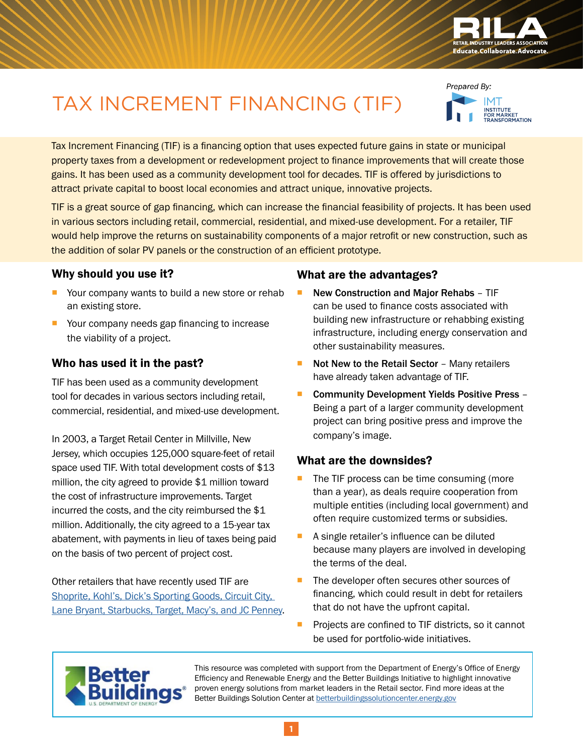

# TAX INCREMENT FINANCING (TIF)

Prepared By: ..<br>INSTITUTE<br>FOR MARKET<br>TRANSFORMATION

Tax Increment Financing (TIF) is a financing option that uses expected future gains in state or municipal property taxes from a development or redevelopment project to finance improvements that will create those gains. It has been used as a community development tool for decades. TIF is offered by jurisdictions to attract private capital to boost local economies and attract unique, innovative projects.

TIF is a great source of gap financing, which can increase the financial feasibility of projects. It has been used in various sectors including retail, commercial, residential, and mixed-use development. For a retailer, TIF would help improve the returns on sustainability components of a major retrofit or new construction, such as the addition of solar PV panels or the construction of an efficient prototype.

## Why should you use it?

- Your company wants to build a new store or rehab an existing store.
- Your company needs gap financing to increase the viability of a project.

## Who has used it in the past?

TIF has been used as a community development tool for decades in various sectors including retail, commercial, residential, and mixed-use development.

In 2003, a Target Retail Center in Millville, New Jersey, which occupies 125,000 square-feet of retail space used TIF. With total development costs of \$13 million, the city agreed to provide \$1 million toward the cost of infrastructure improvements. Target incurred the costs, and the city reimbursed the \$1 million. Additionally, the city agreed to a 15-year tax abatement, with payments in lieu of taxes being paid on the basis of two percent of project cost.

Other retailers that have recently used TIF are Shoprite, Kohl's, Dick's Sporting Goods, Circuit City, [Lane Bryant, Starbucks, Target, Macy's, and JC](http://docplayer.net/2921021-Tax-increment-finance-best-practices-reference-guide.html) Penney.

#### What are the advantages?

- New Construction and Major Rehabs TIF can be used to finance costs associated with building new infrastructure or rehabbing existing infrastructure, including energy conservation and other sustainability measures.
- $\blacksquare$  Not New to the Retail Sector Many retailers have already taken advantage of TIF.
- Community Development Yields Positive Press Being a part of a larger community development project can bring positive press and improve the company's image.

# What are the downsides?

- $\blacksquare$  The TIF process can be time consuming (more than a year), as deals require cooperation from multiple entities (including local government) and often require customized terms or subsidies.
- A single retailer's influence can be diluted because many players are involved in developing the terms of the deal.
- The developer often secures other sources of financing, which could result in debt for retailers that do not have the upfront capital.
- **Projects are confined to TIF districts, so it cannot** be used for portfolio-wide initiatives.



This resource was completed with support from the Department of Energy's Office of Energy Efficiency and Renewable Energy and the Better Buildings Initiative to highlight innovative proven energy solutions from market leaders in the Retail sector. Find more ideas at the Better Buildings Solution Center at [betterbuildingssolutioncenter.energy.gov](http://betterbuildingssolutioncenter.energy.gov)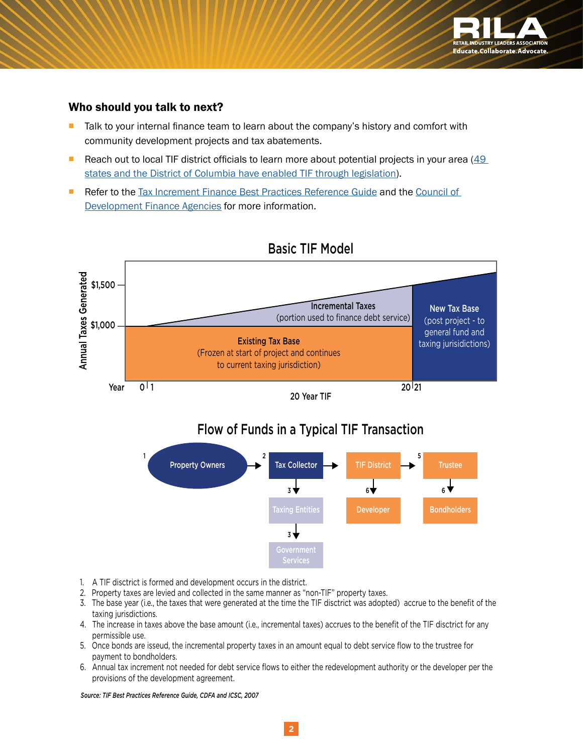

#### Who should you talk to next?

- **Talk to your internal finance team to learn about the company's history and comfort with** community development projects and tax abatements.
- Reach out to local TIF district officials to learn more about potential projects in your area  $(49)$ [states and the District of Columbia have enabled TIF through legislation](https://ballotpedia.org/TIF_districts)).
- **Refer to the [Tax Increment Finance Best Practices Reference Guide](http://mrsc.org/getmedia/C1BF3977-A03E-48CC-94B0-412C8E88D003/tifbest.aspx) and the Council of** [Development Finance Agencies](https://www.cdfa.net/) for more information.



# Basic TIF Model

20 Year TIF

# Flow of Funds in a Typical TIF Transaction



- 1. A TIF disctrict is formed and development occurs in the district.
- 2. Property taxes are levied and collected in the same manner as "non-TIF" property taxes.
- 3. The base year (i.e., the taxes that were generated at the time the TIF disctrict was adopted) accrue to the benefit of the taxing jurisdictions.
- 4. The increase in taxes above the base amount (i.e., incremental taxes) accrues to the benefit of the TIF disctrict for any permissible use.
- 5. Once bonds are isseud, the incremental property taxes in an amount equal to debt service flow to the trustree for payment to bondholders.
- 6. Annual tax increment not needed for debt service flows to either the redevelopment authority or the developer per the provisions of the development agreement.

*Source: TIF Best Practices Reference Guide, CDFA and ICSC, 2007*